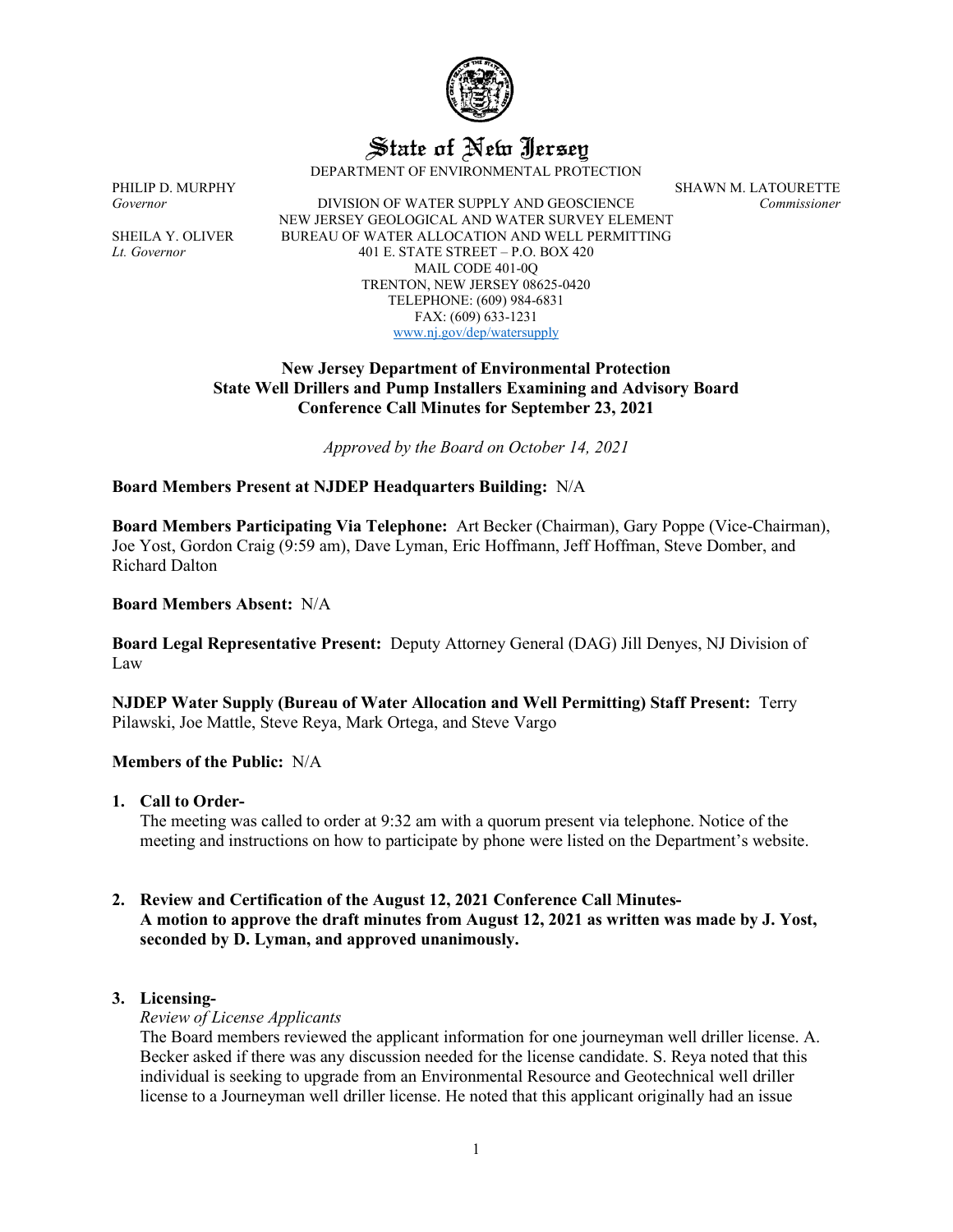

State of New Jersey

DEPARTMENT OF ENVIRONMENTAL PROTECTION

*Governor* DIVISION OF WATER SUPPLY AND GEOSCIENCE *Commissioner* NEW JERSEY GEOLOGICAL AND WATER SURVEY ELEMENT SHEILA Y. OLIVER BUREAU OF WATER ALLOCATION AND WELL PERMITTING *Lt. Governor* 401 E. STATE STREET – P.O. BOX 420 MAIL CODE 401-0Q TRENTON, NEW JERSEY 08625-0420 TELEPHONE: (609) 984-6831 FAX: (609) 633-1231 [www.nj.gov/dep/watersupply](http://www.nj.gov/dep/watersupply)

PHILIP D. MURPHY SHAWN M. LATOURETTE

## **New Jersey Department of Environmental Protection State Well Drillers and Pump Installers Examining and Advisory Board Conference Call Minutes for September 23, 2021**

*Approved by the Board on October 14, 2021*

## **Board Members Present at NJDEP Headquarters Building:** N/A

**Board Members Participating Via Telephone:** Art Becker (Chairman), Gary Poppe (Vice-Chairman), Joe Yost, Gordon Craig (9:59 am), Dave Lyman, Eric Hoffmann, Jeff Hoffman, Steve Domber, and Richard Dalton

## **Board Members Absent:** N/A

**Board Legal Representative Present:** Deputy Attorney General (DAG) Jill Denyes, NJ Division of Law

**NJDEP Water Supply (Bureau of Water Allocation and Well Permitting) Staff Present:** Terry Pilawski, Joe Mattle, Steve Reya, Mark Ortega, and Steve Vargo

#### **Members of the Public:** N/A

## **1. Call to Order-**

The meeting was called to order at 9:32 am with a quorum present via telephone. Notice of the meeting and instructions on how to participate by phone were listed on the Department's website.

## **2. Review and Certification of the August 12, 2021 Conference Call Minutes-A motion to approve the draft minutes from August 12, 2021 as written was made by J. Yost, seconded by D. Lyman, and approved unanimously.**

## **3. Licensing-**

*Review of License Applicants*

The Board members reviewed the applicant information for one journeyman well driller license. A. Becker asked if there was any discussion needed for the license candidate. S. Reya noted that this individual is seeking to upgrade from an Environmental Resource and Geotechnical well driller license to a Journeyman well driller license. He noted that this applicant originally had an issue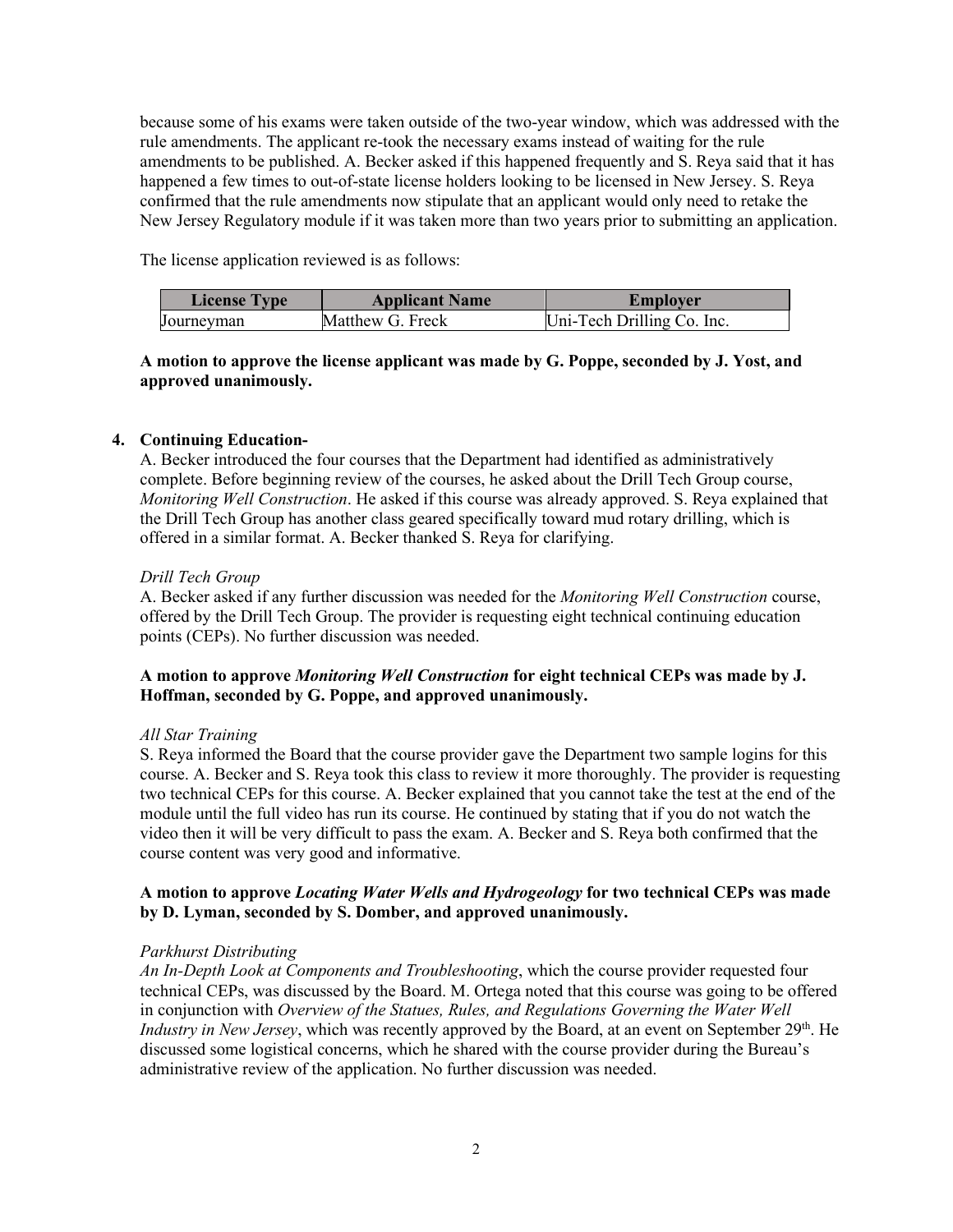because some of his exams were taken outside of the two-year window, which was addressed with the rule amendments. The applicant re-took the necessary exams instead of waiting for the rule amendments to be published. A. Becker asked if this happened frequently and S. Reya said that it has happened a few times to out-of-state license holders looking to be licensed in New Jersey. S. Reya confirmed that the rule amendments now stipulate that an applicant would only need to retake the New Jersey Regulatory module if it was taken more than two years prior to submitting an application.

The license application reviewed is as follows:

| <b>License Type</b> | <b>Applicant Name</b> | Emplover                   |
|---------------------|-----------------------|----------------------------|
| Uournevman          | Matthew G. Freck      | Uni-Tech Drilling Co. Inc. |

# **A motion to approve the license applicant was made by G. Poppe, seconded by J. Yost, and approved unanimously.**

# **4. Continuing Education-**

A. Becker introduced the four courses that the Department had identified as administratively complete. Before beginning review of the courses, he asked about the Drill Tech Group course, *Monitoring Well Construction*. He asked if this course was already approved. S. Reya explained that the Drill Tech Group has another class geared specifically toward mud rotary drilling, which is offered in a similar format. A. Becker thanked S. Reya for clarifying.

## *Drill Tech Group*

A. Becker asked if any further discussion was needed for the *Monitoring Well Construction* course, offered by the Drill Tech Group. The provider is requesting eight technical continuing education points (CEPs). No further discussion was needed.

## **A motion to approve** *Monitoring Well Construction* **for eight technical CEPs was made by J. Hoffman, seconded by G. Poppe, and approved unanimously.**

## *All Star Training*

S. Reya informed the Board that the course provider gave the Department two sample logins for this course. A. Becker and S. Reya took this class to review it more thoroughly. The provider is requesting two technical CEPs for this course. A. Becker explained that you cannot take the test at the end of the module until the full video has run its course. He continued by stating that if you do not watch the video then it will be very difficult to pass the exam. A. Becker and S. Reya both confirmed that the course content was very good and informative.

## **A motion to approve** *Locating Water Wells and Hydrogeology* **for two technical CEPs was made by D. Lyman, seconded by S. Domber, and approved unanimously.**

#### *Parkhurst Distributing*

*An In-Depth Look at Components and Troubleshooting*, which the course provider requested four technical CEPs, was discussed by the Board. M. Ortega noted that this course was going to be offered in conjunction with *Overview of the Statues, Rules, and Regulations Governing the Water Well Industry in New Jersey*, which was recently approved by the Board, at an event on September 29<sup>th</sup>. He discussed some logistical concerns, which he shared with the course provider during the Bureau's administrative review of the application. No further discussion was needed.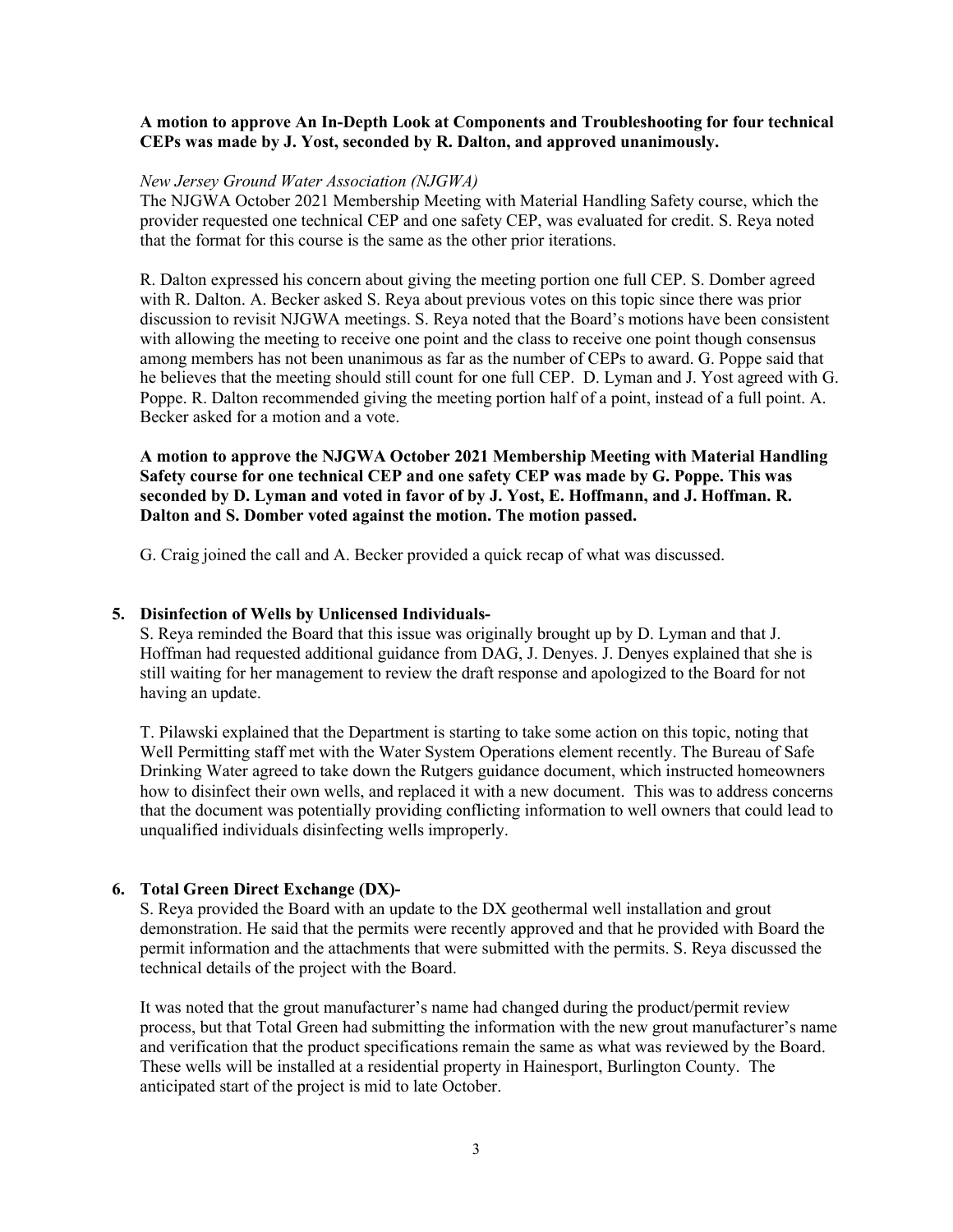#### **A motion to approve An In-Depth Look at Components and Troubleshooting for four technical CEPs was made by J. Yost, seconded by R. Dalton, and approved unanimously.**

#### *New Jersey Ground Water Association (NJGWA)*

The NJGWA October 2021 Membership Meeting with Material Handling Safety course, which the provider requested one technical CEP and one safety CEP, was evaluated for credit. S. Reya noted that the format for this course is the same as the other prior iterations.

R. Dalton expressed his concern about giving the meeting portion one full CEP. S. Domber agreed with R. Dalton. A. Becker asked S. Reya about previous votes on this topic since there was prior discussion to revisit NJGWA meetings. S. Reya noted that the Board's motions have been consistent with allowing the meeting to receive one point and the class to receive one point though consensus among members has not been unanimous as far as the number of CEPs to award. G. Poppe said that he believes that the meeting should still count for one full CEP. D. Lyman and J. Yost agreed with G. Poppe. R. Dalton recommended giving the meeting portion half of a point, instead of a full point. A. Becker asked for a motion and a vote.

**A motion to approve the NJGWA October 2021 Membership Meeting with Material Handling Safety course for one technical CEP and one safety CEP was made by G. Poppe. This was seconded by D. Lyman and voted in favor of by J. Yost, E. Hoffmann, and J. Hoffman. R. Dalton and S. Domber voted against the motion. The motion passed.**

G. Craig joined the call and A. Becker provided a quick recap of what was discussed.

#### **5. Disinfection of Wells by Unlicensed Individuals-**

S. Reya reminded the Board that this issue was originally brought up by D. Lyman and that J. Hoffman had requested additional guidance from DAG, J. Denyes. J. Denyes explained that she is still waiting for her management to review the draft response and apologized to the Board for not having an update.

T. Pilawski explained that the Department is starting to take some action on this topic, noting that Well Permitting staff met with the Water System Operations element recently. The Bureau of Safe Drinking Water agreed to take down the Rutgers guidance document, which instructed homeowners how to disinfect their own wells, and replaced it with a new document. This was to address concerns that the document was potentially providing conflicting information to well owners that could lead to unqualified individuals disinfecting wells improperly.

## **6. Total Green Direct Exchange (DX)-**

S. Reya provided the Board with an update to the DX geothermal well installation and grout demonstration. He said that the permits were recently approved and that he provided with Board the permit information and the attachments that were submitted with the permits. S. Reya discussed the technical details of the project with the Board.

It was noted that the grout manufacturer's name had changed during the product/permit review process, but that Total Green had submitting the information with the new grout manufacturer's name and verification that the product specifications remain the same as what was reviewed by the Board. These wells will be installed at a residential property in Hainesport, Burlington County. The anticipated start of the project is mid to late October.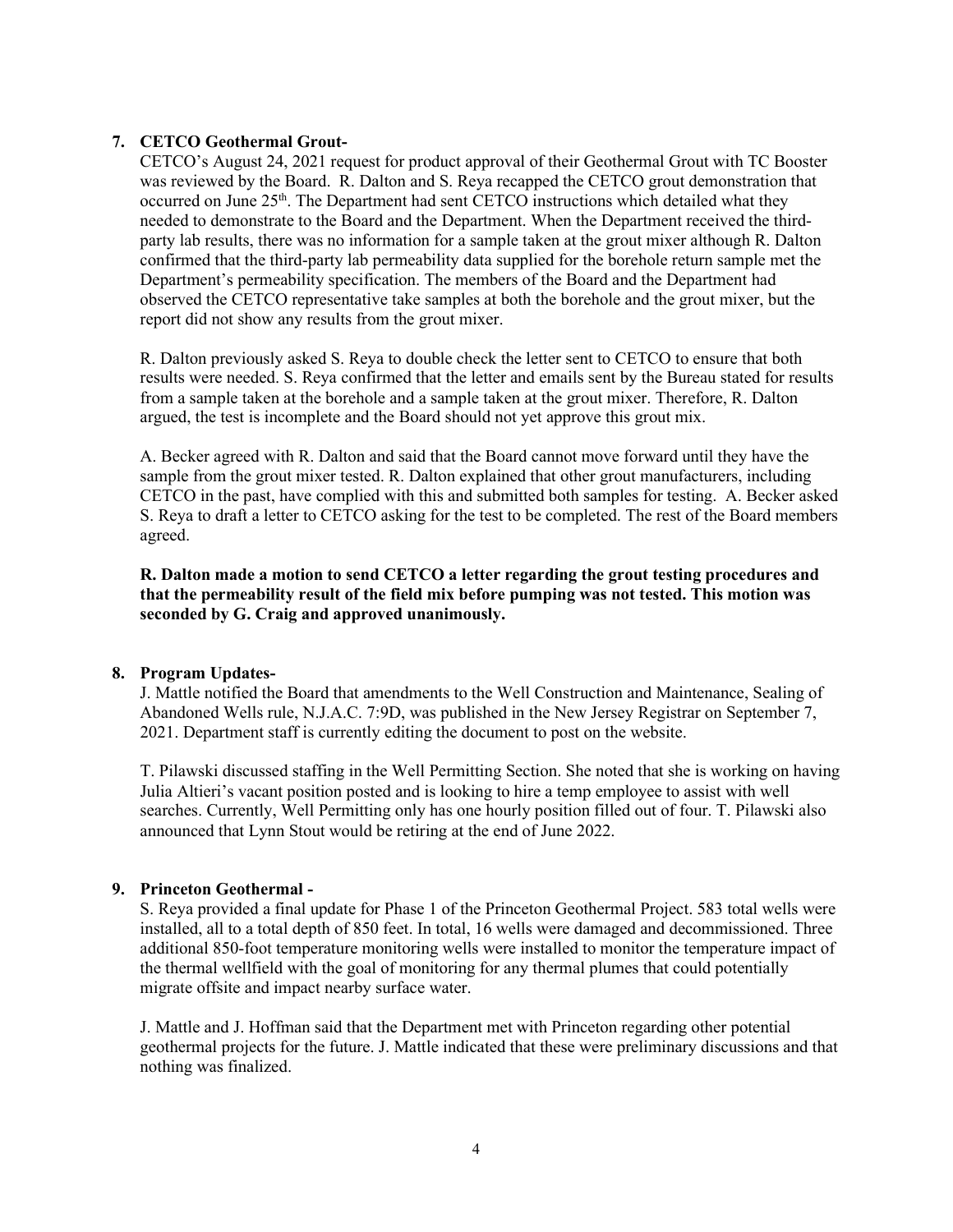# **7. CETCO Geothermal Grout-**

CETCO's August 24, 2021 request for product approval of their Geothermal Grout with TC Booster was reviewed by the Board. R. Dalton and S. Reya recapped the CETCO grout demonstration that occurred on June  $25<sup>th</sup>$ . The Department had sent CETCO instructions which detailed what they needed to demonstrate to the Board and the Department. When the Department received the thirdparty lab results, there was no information for a sample taken at the grout mixer although R. Dalton confirmed that the third-party lab permeability data supplied for the borehole return sample met the Department's permeability specification. The members of the Board and the Department had observed the CETCO representative take samples at both the borehole and the grout mixer, but the report did not show any results from the grout mixer.

R. Dalton previously asked S. Reya to double check the letter sent to CETCO to ensure that both results were needed. S. Reya confirmed that the letter and emails sent by the Bureau stated for results from a sample taken at the borehole and a sample taken at the grout mixer. Therefore, R. Dalton argued, the test is incomplete and the Board should not yet approve this grout mix.

A. Becker agreed with R. Dalton and said that the Board cannot move forward until they have the sample from the grout mixer tested. R. Dalton explained that other grout manufacturers, including CETCO in the past, have complied with this and submitted both samples for testing. A. Becker asked S. Reya to draft a letter to CETCO asking for the test to be completed. The rest of the Board members agreed.

**R. Dalton made a motion to send CETCO a letter regarding the grout testing procedures and that the permeability result of the field mix before pumping was not tested. This motion was seconded by G. Craig and approved unanimously.**

## **8. Program Updates-**

J. Mattle notified the Board that amendments to the Well Construction and Maintenance, Sealing of Abandoned Wells rule, N.J.A.C. 7:9D, was published in the New Jersey Registrar on September 7, 2021. Department staff is currently editing the document to post on the website.

T. Pilawski discussed staffing in the Well Permitting Section. She noted that she is working on having Julia Altieri's vacant position posted and is looking to hire a temp employee to assist with well searches. Currently, Well Permitting only has one hourly position filled out of four. T. Pilawski also announced that Lynn Stout would be retiring at the end of June 2022.

# **9. Princeton Geothermal -**

S. Reya provided a final update for Phase 1 of the Princeton Geothermal Project. 583 total wells were installed, all to a total depth of 850 feet. In total, 16 wells were damaged and decommissioned. Three additional 850-foot temperature monitoring wells were installed to monitor the temperature impact of the thermal wellfield with the goal of monitoring for any thermal plumes that could potentially migrate offsite and impact nearby surface water.

J. Mattle and J. Hoffman said that the Department met with Princeton regarding other potential geothermal projects for the future. J. Mattle indicated that these were preliminary discussions and that nothing was finalized.